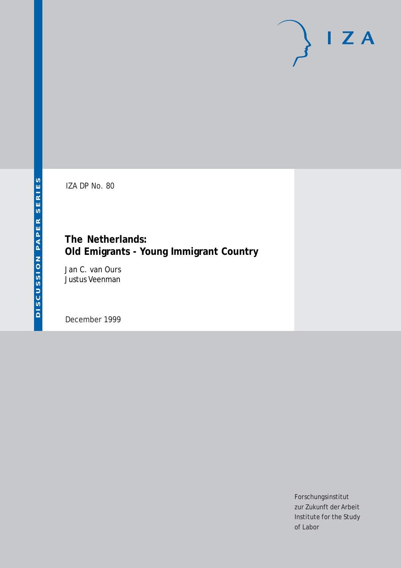# $I Z A$

IZA DP No. 80

# **The Netherlands: Old Emigrants - Young Immigrant Country**

Jan C. van Ours Justus Veenman

December 1999

Forschungsinstitut zur Zukunft der Arbeit Institute for the Study of Labor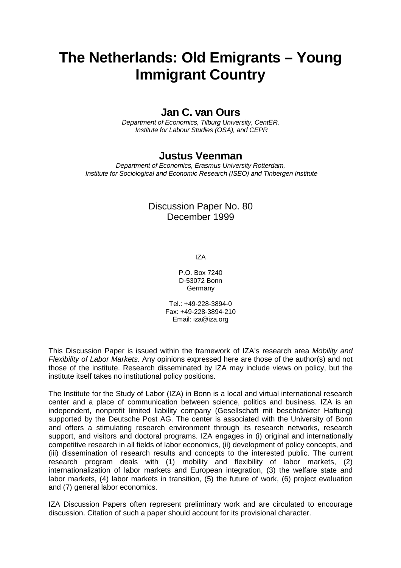# **The Netherlands: Old Emigrants – Young Immigrant Country**

# **Jan C. van Ours**

Department of Economics, Tilburg University, CentER, Institute for Labour Studies (OSA), and CEPR

# **Justus Veenman**

Department of Economics, Erasmus University Rotterdam, Institute for Sociological and Economic Research (ISEO) and Tinbergen Institute

# Discussion Paper No. 80 December 1999

IZA

P.O. Box 7240 D-53072 Bonn **Germany** 

Tel.: +49-228-3894-0 Fax: +49-228-3894-210 Email: iza@iza.org

This Discussion Paper is issued within the framework of IZA's research area Mobility and Flexibility of Labor Markets. Any opinions expressed here are those of the author(s) and not those of the institute. Research disseminated by IZA may include views on policy, but the institute itself takes no institutional policy positions.

The Institute for the Study of Labor (IZA) in Bonn is a local and virtual international research center and a place of communication between science, politics and business. IZA is an independent, nonprofit limited liability company (Gesellschaft mit beschränkter Haftung) supported by the Deutsche Post AG. The center is associated with the University of Bonn and offers a stimulating research environment through its research networks, research support, and visitors and doctoral programs. IZA engages in (i) original and internationally competitive research in all fields of labor economics, (ii) development of policy concepts, and (iii) dissemination of research results and concepts to the interested public. The current research program deals with (1) mobility and flexibility of labor markets, (2) internationalization of labor markets and European integration, (3) the welfare state and labor markets, (4) labor markets in transition, (5) the future of work, (6) project evaluation and (7) general labor economics.

IZA Discussion Papers often represent preliminary work and are circulated to encourage discussion. Citation of such a paper should account for its provisional character.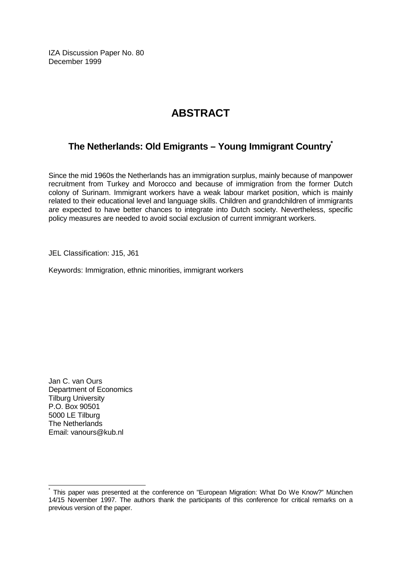IZA Discussion Paper No. 80 December 1999

# **ABSTRACT**

# **The Netherlands: Old Emigrants – Young Immigrant Country\***

Since the mid 1960s the Netherlands has an immigration surplus, mainly because of manpower recruitment from Turkey and Morocco and because of immigration from the former Dutch colony of Surinam. Immigrant workers have a weak labour market position, which is mainly related to their educational level and language skills. Children and grandchildren of immigrants are expected to have better chances to integrate into Dutch society. Nevertheless, specific policy measures are needed to avoid social exclusion of current immigrant workers.

JEL Classification: J15, J61

Keywords: Immigration, ethnic minorities, immigrant workers

Jan C. van Ours Department of Economics Tilburg University P.O. Box 90501 5000 LE Tilburg The Netherlands Email: vanours@kub.nl

 $\overline{\phantom{a}}$ 

This paper was presented at the conference on "European Migration: What Do We Know?" München 14/15 November 1997. The authors thank the participants of this conference for critical remarks on a previous version of the paper.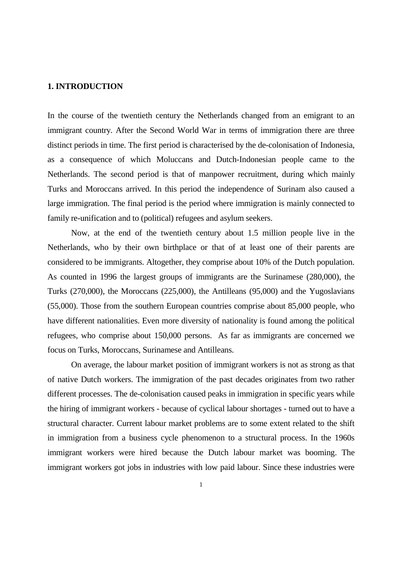### **1. INTRODUCTION**

In the course of the twentieth century the Netherlands changed from an emigrant to an immigrant country. After the Second World War in terms of immigration there are three distinct periods in time. The first period is characterised by the de-colonisation of Indonesia, as a consequence of which Moluccans and Dutch-Indonesian people came to the Netherlands. The second period is that of manpower recruitment, during which mainly Turks and Moroccans arrived. In this period the independence of Surinam also caused a large immigration. The final period is the period where immigration is mainly connected to family re-unification and to (political) refugees and asylum seekers.

 Now, at the end of the twentieth century about 1.5 million people live in the Netherlands, who by their own birthplace or that of at least one of their parents are considered to be immigrants. Altogether, they comprise about 10% of the Dutch population. As counted in 1996 the largest groups of immigrants are the Surinamese (280,000), the Turks (270,000), the Moroccans (225,000), the Antilleans (95,000) and the Yugoslavians (55,000). Those from the southern European countries comprise about 85,000 people, who have different nationalities. Even more diversity of nationality is found among the political refugees, who comprise about 150,000 persons. As far as immigrants are concerned we focus on Turks, Moroccans, Surinamese and Antilleans.

 On average, the labour market position of immigrant workers is not as strong as that of native Dutch workers. The immigration of the past decades originates from two rather different processes. The de-colonisation caused peaks in immigration in specific years while the hiring of immigrant workers - because of cyclical labour shortages - turned out to have a structural character. Current labour market problems are to some extent related to the shift in immigration from a business cycle phenomenon to a structural process. In the 1960s immigrant workers were hired because the Dutch labour market was booming. The immigrant workers got jobs in industries with low paid labour. Since these industries were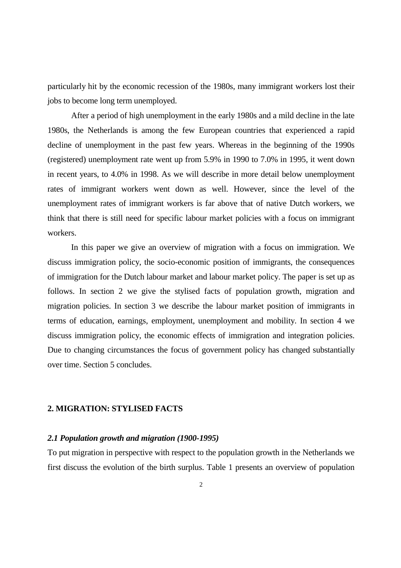particularly hit by the economic recession of the 1980s, many immigrant workers lost their jobs to become long term unemployed.

 After a period of high unemployment in the early 1980s and a mild decline in the late 1980s, the Netherlands is among the few European countries that experienced a rapid decline of unemployment in the past few years. Whereas in the beginning of the 1990s (registered) unemployment rate went up from 5.9% in 1990 to 7.0% in 1995, it went down in recent years, to 4.0% in 1998. As we will describe in more detail below unemployment rates of immigrant workers went down as well. However, since the level of the unemployment rates of immigrant workers is far above that of native Dutch workers, we think that there is still need for specific labour market policies with a focus on immigrant workers.

 In this paper we give an overview of migration with a focus on immigration. We discuss immigration policy, the socio-economic position of immigrants, the consequences of immigration for the Dutch labour market and labour market policy. The paper is set up as follows. In section 2 we give the stylised facts of population growth, migration and migration policies. In section 3 we describe the labour market position of immigrants in terms of education, earnings, employment, unemployment and mobility. In section 4 we discuss immigration policy, the economic effects of immigration and integration policies. Due to changing circumstances the focus of government policy has changed substantially over time. Section 5 concludes.

### **2. MIGRATION: STYLISED FACTS**

### *2.1 Population growth and migration (1900-1995)*

To put migration in perspective with respect to the population growth in the Netherlands we first discuss the evolution of the birth surplus. Table 1 presents an overview of population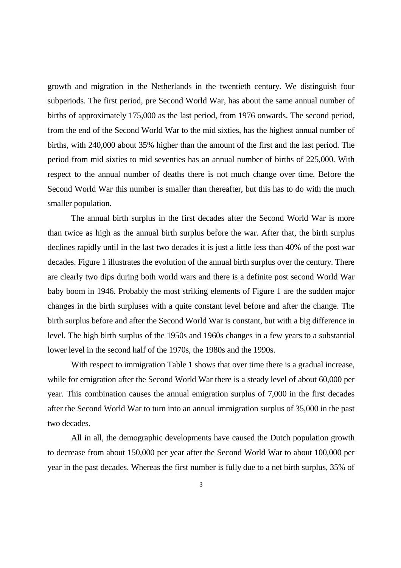growth and migration in the Netherlands in the twentieth century. We distinguish four subperiods. The first period, pre Second World War, has about the same annual number of births of approximately 175,000 as the last period, from 1976 onwards. The second period, from the end of the Second World War to the mid sixties, has the highest annual number of births, with 240,000 about 35% higher than the amount of the first and the last period. The period from mid sixties to mid seventies has an annual number of births of 225,000. With respect to the annual number of deaths there is not much change over time. Before the Second World War this number is smaller than thereafter, but this has to do with the much smaller population.

 The annual birth surplus in the first decades after the Second World War is more than twice as high as the annual birth surplus before the war. After that, the birth surplus declines rapidly until in the last two decades it is just a little less than 40% of the post war decades. Figure 1 illustrates the evolution of the annual birth surplus over the century. There are clearly two dips during both world wars and there is a definite post second World War baby boom in 1946. Probably the most striking elements of Figure 1 are the sudden major changes in the birth surpluses with a quite constant level before and after the change. The birth surplus before and after the Second World War is constant, but with a big difference in level. The high birth surplus of the 1950s and 1960s changes in a few years to a substantial lower level in the second half of the 1970s, the 1980s and the 1990s.

With respect to immigration Table 1 shows that over time there is a gradual increase, while for emigration after the Second World War there is a steady level of about 60,000 per year. This combination causes the annual emigration surplus of 7,000 in the first decades after the Second World War to turn into an annual immigration surplus of 35,000 in the past two decades.

 All in all, the demographic developments have caused the Dutch population growth to decrease from about 150,000 per year after the Second World War to about 100,000 per year in the past decades. Whereas the first number is fully due to a net birth surplus, 35% of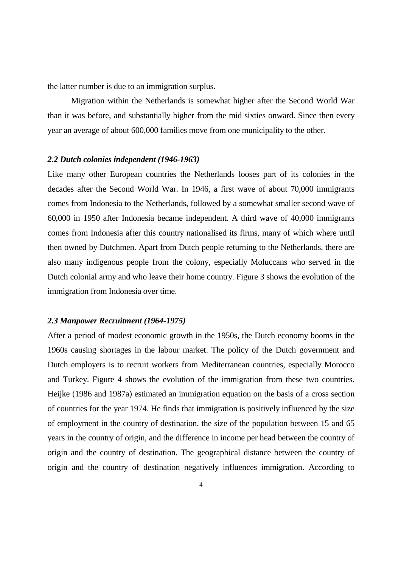the latter number is due to an immigration surplus.

 Migration within the Netherlands is somewhat higher after the Second World War than it was before, and substantially higher from the mid sixties onward. Since then every year an average of about 600,000 families move from one municipality to the other.

### *2.2 Dutch colonies independent (1946-1963)*

Like many other European countries the Netherlands looses part of its colonies in the decades after the Second World War. In 1946, a first wave of about 70,000 immigrants comes from Indonesia to the Netherlands, followed by a somewhat smaller second wave of 60,000 in 1950 after Indonesia became independent. A third wave of 40,000 immigrants comes from Indonesia after this country nationalised its firms, many of which where until then owned by Dutchmen. Apart from Dutch people returning to the Netherlands, there are also many indigenous people from the colony, especially Moluccans who served in the Dutch colonial army and who leave their home country. Figure 3 shows the evolution of the immigration from Indonesia over time.

### *2.3 Manpower Recruitment (1964-1975)*

After a period of modest economic growth in the 1950s, the Dutch economy booms in the 1960s causing shortages in the labour market. The policy of the Dutch government and Dutch employers is to recruit workers from Mediterranean countries, especially Morocco and Turkey. Figure 4 shows the evolution of the immigration from these two countries. Heijke (1986 and 1987a) estimated an immigration equation on the basis of a cross section of countries for the year 1974. He finds that immigration is positively influenced by the size of employment in the country of destination, the size of the population between 15 and 65 years in the country of origin, and the difference in income per head between the country of origin and the country of destination. The geographical distance between the country of origin and the country of destination negatively influences immigration. According to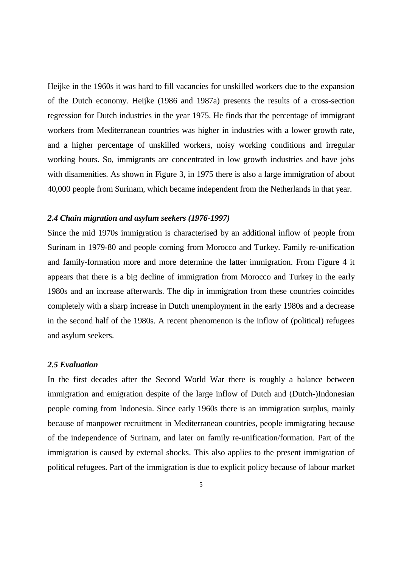Heijke in the 1960s it was hard to fill vacancies for unskilled workers due to the expansion of the Dutch economy. Heijke (1986 and 1987a) presents the results of a cross-section regression for Dutch industries in the year 1975. He finds that the percentage of immigrant workers from Mediterranean countries was higher in industries with a lower growth rate, and a higher percentage of unskilled workers, noisy working conditions and irregular working hours. So, immigrants are concentrated in low growth industries and have jobs with disamenities. As shown in Figure 3, in 1975 there is also a large immigration of about 40,000 people from Surinam, which became independent from the Netherlands in that year.

### *2.4 Chain migration and asylum seekers (1976-1997)*

Since the mid 1970s immigration is characterised by an additional inflow of people from Surinam in 1979-80 and people coming from Morocco and Turkey. Family re-unification and family-formation more and more determine the latter immigration. From Figure 4 it appears that there is a big decline of immigration from Morocco and Turkey in the early 1980s and an increase afterwards. The dip in immigration from these countries coincides completely with a sharp increase in Dutch unemployment in the early 1980s and a decrease in the second half of the 1980s. A recent phenomenon is the inflow of (political) refugees and asylum seekers.

### *2.5 Evaluation*

In the first decades after the Second World War there is roughly a balance between immigration and emigration despite of the large inflow of Dutch and (Dutch-)Indonesian people coming from Indonesia. Since early 1960s there is an immigration surplus, mainly because of manpower recruitment in Mediterranean countries, people immigrating because of the independence of Surinam, and later on family re-unification/formation. Part of the immigration is caused by external shocks. This also applies to the present immigration of political refugees. Part of the immigration is due to explicit policy because of labour market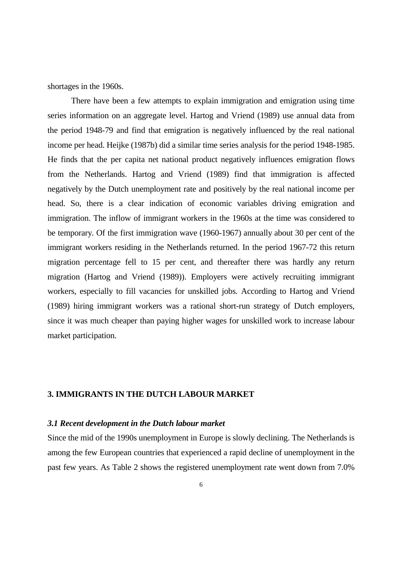shortages in the 1960s.

 There have been a few attempts to explain immigration and emigration using time series information on an aggregate level. Hartog and Vriend (1989) use annual data from the period 1948-79 and find that emigration is negatively influenced by the real national income per head. Heijke (1987b) did a similar time series analysis for the period 1948-1985. He finds that the per capita net national product negatively influences emigration flows from the Netherlands. Hartog and Vriend (1989) find that immigration is affected negatively by the Dutch unemployment rate and positively by the real national income per head. So, there is a clear indication of economic variables driving emigration and immigration. The inflow of immigrant workers in the 1960s at the time was considered to be temporary. Of the first immigration wave (1960-1967) annually about 30 per cent of the immigrant workers residing in the Netherlands returned. In the period 1967-72 this return migration percentage fell to 15 per cent, and thereafter there was hardly any return migration (Hartog and Vriend (1989)). Employers were actively recruiting immigrant workers, especially to fill vacancies for unskilled jobs. According to Hartog and Vriend (1989) hiring immigrant workers was a rational short-run strategy of Dutch employers, since it was much cheaper than paying higher wages for unskilled work to increase labour market participation.

### **3. IMMIGRANTS IN THE DUTCH LABOUR MARKET**

### *3.1 Recent development in the Dutch labour market*

Since the mid of the 1990s unemployment in Europe is slowly declining. The Netherlands is among the few European countries that experienced a rapid decline of unemployment in the past few years. As Table 2 shows the registered unemployment rate went down from 7.0%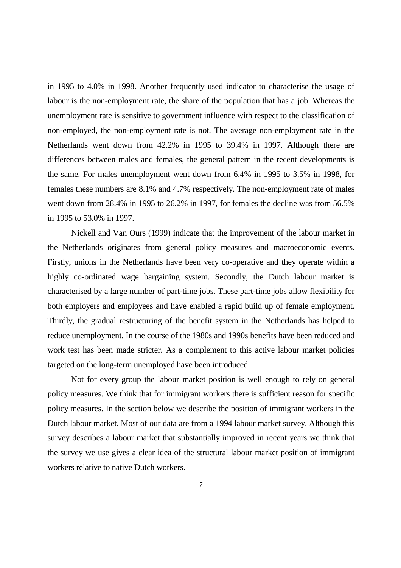in 1995 to 4.0% in 1998. Another frequently used indicator to characterise the usage of labour is the non-employment rate, the share of the population that has a job. Whereas the unemployment rate is sensitive to government influence with respect to the classification of non-employed, the non-employment rate is not. The average non-employment rate in the Netherlands went down from 42.2% in 1995 to 39.4% in 1997. Although there are differences between males and females, the general pattern in the recent developments is the same. For males unemployment went down from 6.4% in 1995 to 3.5% in 1998, for females these numbers are 8.1% and 4.7% respectively. The non-employment rate of males went down from 28.4% in 1995 to 26.2% in 1997, for females the decline was from 56.5% in 1995 to 53.0% in 1997.

 Nickell and Van Ours (1999) indicate that the improvement of the labour market in the Netherlands originates from general policy measures and macroeconomic events. Firstly, unions in the Netherlands have been very co-operative and they operate within a highly co-ordinated wage bargaining system. Secondly, the Dutch labour market is characterised by a large number of part-time jobs. These part-time jobs allow flexibility for both employers and employees and have enabled a rapid build up of female employment. Thirdly, the gradual restructuring of the benefit system in the Netherlands has helped to reduce unemployment. In the course of the 1980s and 1990s benefits have been reduced and work test has been made stricter. As a complement to this active labour market policies targeted on the long-term unemployed have been introduced.

 Not for every group the labour market position is well enough to rely on general policy measures. We think that for immigrant workers there is sufficient reason for specific policy measures. In the section below we describe the position of immigrant workers in the Dutch labour market. Most of our data are from a 1994 labour market survey. Although this survey describes a labour market that substantially improved in recent years we think that the survey we use gives a clear idea of the structural labour market position of immigrant workers relative to native Dutch workers.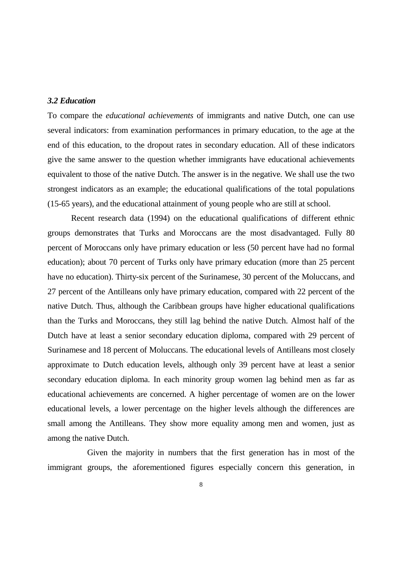### *3.2 Education*

To compare the *educational achievements* of immigrants and native Dutch, one can use several indicators: from examination performances in primary education, to the age at the end of this education, to the dropout rates in secondary education. All of these indicators give the same answer to the question whether immigrants have educational achievements equivalent to those of the native Dutch. The answer is in the negative. We shall use the two strongest indicators as an example; the educational qualifications of the total populations (15-65 years), and the educational attainment of young people who are still at school.

 Recent research data (1994) on the educational qualifications of different ethnic groups demonstrates that Turks and Moroccans are the most disadvantaged. Fully 80 percent of Moroccans only have primary education or less (50 percent have had no formal education); about 70 percent of Turks only have primary education (more than 25 percent have no education). Thirty-six percent of the Surinamese, 30 percent of the Moluccans, and 27 percent of the Antilleans only have primary education, compared with 22 percent of the native Dutch. Thus, although the Caribbean groups have higher educational qualifications than the Turks and Moroccans, they still lag behind the native Dutch. Almost half of the Dutch have at least a senior secondary education diploma, compared with 29 percent of Surinamese and 18 percent of Moluccans. The educational levels of Antilleans most closely approximate to Dutch education levels, although only 39 percent have at least a senior secondary education diploma. In each minority group women lag behind men as far as educational achievements are concerned. A higher percentage of women are on the lower educational levels, a lower percentage on the higher levels although the differences are small among the Antilleans. They show more equality among men and women, just as among the native Dutch.

 Given the majority in numbers that the first generation has in most of the immigrant groups, the aforementioned figures especially concern this generation, in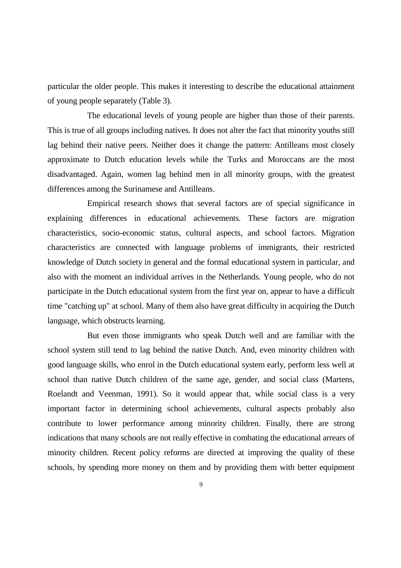particular the older people. This makes it interesting to describe the educational attainment of young people separately (Table 3).

 The educational levels of young people are higher than those of their parents. This is true of all groups including natives. It does not alter the fact that minority youths still lag behind their native peers. Neither does it change the pattern: Antilleans most closely approximate to Dutch education levels while the Turks and Moroccans are the most disadvantaged. Again, women lag behind men in all minority groups, with the greatest differences among the Surinamese and Antilleans.

 Empirical research shows that several factors are of special significance in explaining differences in educational achievements. These factors are migration characteristics, socio-economic status, cultural aspects, and school factors. Migration characteristics are connected with language problems of immigrants, their restricted knowledge of Dutch society in general and the formal educational system in particular, and also with the moment an individual arrives in the Netherlands. Young people, who do not participate in the Dutch educational system from the first year on, appear to have a difficult time "catching up" at school. Many of them also have great difficulty in acquiring the Dutch language, which obstructs learning.

 But even those immigrants who speak Dutch well and are familiar with the school system still tend to lag behind the native Dutch. And, even minority children with good language skills, who enrol in the Dutch educational system early, perform less well at school than native Dutch children of the same age, gender, and social class (Martens, Roelandt and Veenman, 1991). So it would appear that, while social class is a very important factor in determining school achievements, cultural aspects probably also contribute to lower performance among minority children. Finally, there are strong indications that many schools are not really effective in combating the educational arrears of minority children. Recent policy reforms are directed at improving the quality of these schools, by spending more money on them and by providing them with better equipment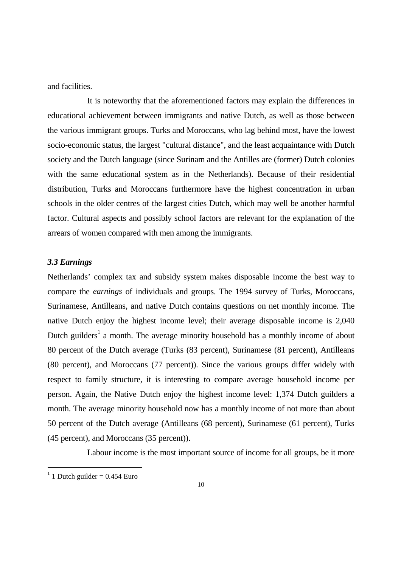and facilities.

 It is noteworthy that the aforementioned factors may explain the differences in educational achievement between immigrants and native Dutch, as well as those between the various immigrant groups. Turks and Moroccans, who lag behind most, have the lowest socio-economic status, the largest "cultural distance", and the least acquaintance with Dutch society and the Dutch language (since Surinam and the Antilles are (former) Dutch colonies with the same educational system as in the Netherlands). Because of their residential distribution, Turks and Moroccans furthermore have the highest concentration in urban schools in the older centres of the largest cities Dutch, which may well be another harmful factor. Cultural aspects and possibly school factors are relevant for the explanation of the arrears of women compared with men among the immigrants.

### *3.3 Earnings*

Netherlands' complex tax and subsidy system makes disposable income the best way to compare the *earnings* of individuals and groups. The 1994 survey of Turks, Moroccans, Surinamese, Antilleans, and native Dutch contains questions on net monthly income. The native Dutch enjoy the highest income level; their average disposable income is 2,040 Dutch guilders<sup>1</sup> a month. The average minority household has a monthly income of about 80 percent of the Dutch average (Turks (83 percent), Surinamese (81 percent), Antilleans (80 percent), and Moroccans (77 percent)). Since the various groups differ widely with respect to family structure, it is interesting to compare average household income per person. Again, the Native Dutch enjoy the highest income level: 1,374 Dutch guilders a month. The average minority household now has a monthly income of not more than about 50 percent of the Dutch average (Antilleans (68 percent), Surinamese (61 percent), Turks (45 percent), and Moroccans (35 percent)).

Labour income is the most important source of income for all groups, be it more

 $1$  1 Dutch guilder = 0.454 Euro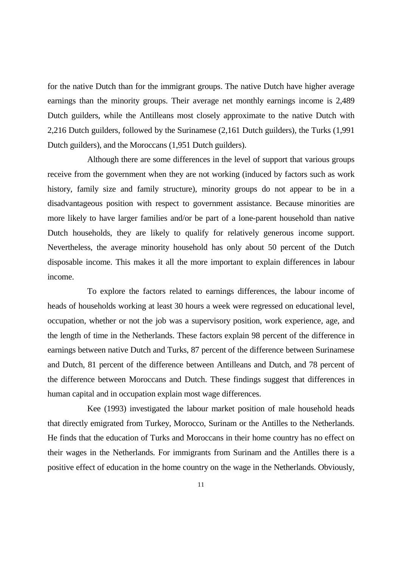for the native Dutch than for the immigrant groups. The native Dutch have higher average earnings than the minority groups. Their average net monthly earnings income is 2,489 Dutch guilders, while the Antilleans most closely approximate to the native Dutch with 2,216 Dutch guilders, followed by the Surinamese (2,161 Dutch guilders), the Turks (1,991 Dutch guilders), and the Moroccans (1,951 Dutch guilders).

 Although there are some differences in the level of support that various groups receive from the government when they are not working (induced by factors such as work history, family size and family structure), minority groups do not appear to be in a disadvantageous position with respect to government assistance. Because minorities are more likely to have larger families and/or be part of a lone-parent household than native Dutch households, they are likely to qualify for relatively generous income support. Nevertheless, the average minority household has only about 50 percent of the Dutch disposable income. This makes it all the more important to explain differences in labour income.

 To explore the factors related to earnings differences, the labour income of heads of households working at least 30 hours a week were regressed on educational level, occupation, whether or not the job was a supervisory position, work experience, age, and the length of time in the Netherlands. These factors explain 98 percent of the difference in earnings between native Dutch and Turks, 87 percent of the difference between Surinamese and Dutch, 81 percent of the difference between Antilleans and Dutch, and 78 percent of the difference between Moroccans and Dutch. These findings suggest that differences in human capital and in occupation explain most wage differences.

 Kee (1993) investigated the labour market position of male household heads that directly emigrated from Turkey, Morocco, Surinam or the Antilles to the Netherlands. He finds that the education of Turks and Moroccans in their home country has no effect on their wages in the Netherlands. For immigrants from Surinam and the Antilles there is a positive effect of education in the home country on the wage in the Netherlands. Obviously,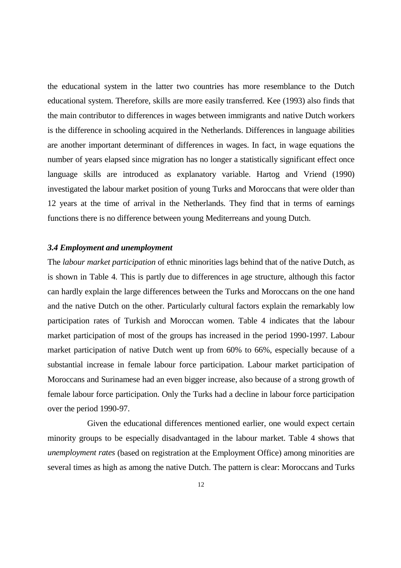the educational system in the latter two countries has more resemblance to the Dutch educational system. Therefore, skills are more easily transferred. Kee (1993) also finds that the main contributor to differences in wages between immigrants and native Dutch workers is the difference in schooling acquired in the Netherlands. Differences in language abilities are another important determinant of differences in wages. In fact, in wage equations the number of years elapsed since migration has no longer a statistically significant effect once language skills are introduced as explanatory variable. Hartog and Vriend (1990) investigated the labour market position of young Turks and Moroccans that were older than 12 years at the time of arrival in the Netherlands. They find that in terms of earnings functions there is no difference between young Mediterreans and young Dutch.

### *3.4 Employment and unemployment*

The *labour market participation* of ethnic minorities lags behind that of the native Dutch, as is shown in Table 4. This is partly due to differences in age structure, although this factor can hardly explain the large differences between the Turks and Moroccans on the one hand and the native Dutch on the other. Particularly cultural factors explain the remarkably low participation rates of Turkish and Moroccan women. Table 4 indicates that the labour market participation of most of the groups has increased in the period 1990-1997. Labour market participation of native Dutch went up from 60% to 66%, especially because of a substantial increase in female labour force participation. Labour market participation of Moroccans and Surinamese had an even bigger increase, also because of a strong growth of female labour force participation. Only the Turks had a decline in labour force participation over the period 1990-97.

 Given the educational differences mentioned earlier, one would expect certain minority groups to be especially disadvantaged in the labour market. Table 4 shows that *unemployment rates* (based on registration at the Employment Office) among minorities are several times as high as among the native Dutch. The pattern is clear: Moroccans and Turks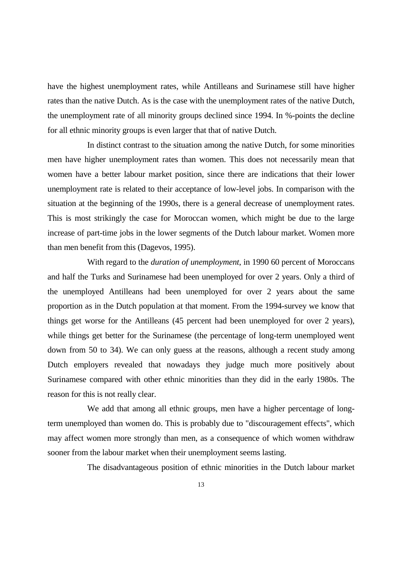have the highest unemployment rates, while Antilleans and Surinamese still have higher rates than the native Dutch. As is the case with the unemployment rates of the native Dutch, the unemployment rate of all minority groups declined since 1994. In %-points the decline for all ethnic minority groups is even larger that that of native Dutch.

 In distinct contrast to the situation among the native Dutch, for some minorities men have higher unemployment rates than women. This does not necessarily mean that women have a better labour market position, since there are indications that their lower unemployment rate is related to their acceptance of low-level jobs. In comparison with the situation at the beginning of the 1990s, there is a general decrease of unemployment rates. This is most strikingly the case for Moroccan women, which might be due to the large increase of part-time jobs in the lower segments of the Dutch labour market. Women more than men benefit from this (Dagevos, 1995).

 With regard to the *duration of unemployment*, in 1990 60 percent of Moroccans and half the Turks and Surinamese had been unemployed for over 2 years. Only a third of the unemployed Antilleans had been unemployed for over 2 years about the same proportion as in the Dutch population at that moment. From the 1994-survey we know that things get worse for the Antilleans (45 percent had been unemployed for over 2 years), while things get better for the Surinamese (the percentage of long-term unemployed went down from 50 to 34). We can only guess at the reasons, although a recent study among Dutch employers revealed that nowadays they judge much more positively about Surinamese compared with other ethnic minorities than they did in the early 1980s. The reason for this is not really clear.

 We add that among all ethnic groups, men have a higher percentage of longterm unemployed than women do. This is probably due to "discouragement effects", which may affect women more strongly than men, as a consequence of which women withdraw sooner from the labour market when their unemployment seems lasting.

The disadvantageous position of ethnic minorities in the Dutch labour market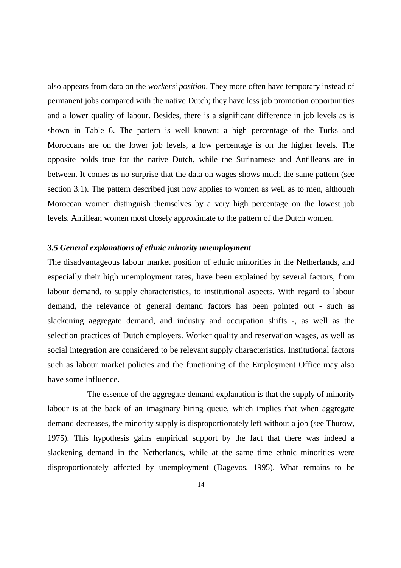also appears from data on the *workers' position*. They more often have temporary instead of permanent jobs compared with the native Dutch; they have less job promotion opportunities and a lower quality of labour. Besides, there is a significant difference in job levels as is shown in Table 6. The pattern is well known: a high percentage of the Turks and Moroccans are on the lower job levels, a low percentage is on the higher levels. The opposite holds true for the native Dutch, while the Surinamese and Antilleans are in between. It comes as no surprise that the data on wages shows much the same pattern (see section 3.1). The pattern described just now applies to women as well as to men, although Moroccan women distinguish themselves by a very high percentage on the lowest job levels. Antillean women most closely approximate to the pattern of the Dutch women.

### *3.5 General explanations of ethnic minority unemployment*

The disadvantageous labour market position of ethnic minorities in the Netherlands, and especially their high unemployment rates, have been explained by several factors, from labour demand, to supply characteristics, to institutional aspects. With regard to labour demand, the relevance of general demand factors has been pointed out - such as slackening aggregate demand, and industry and occupation shifts -, as well as the selection practices of Dutch employers. Worker quality and reservation wages, as well as social integration are considered to be relevant supply characteristics. Institutional factors such as labour market policies and the functioning of the Employment Office may also have some influence.

 The essence of the aggregate demand explanation is that the supply of minority labour is at the back of an imaginary hiring queue, which implies that when aggregate demand decreases, the minority supply is disproportionately left without a job (see Thurow, 1975). This hypothesis gains empirical support by the fact that there was indeed a slackening demand in the Netherlands, while at the same time ethnic minorities were disproportionately affected by unemployment (Dagevos, 1995). What remains to be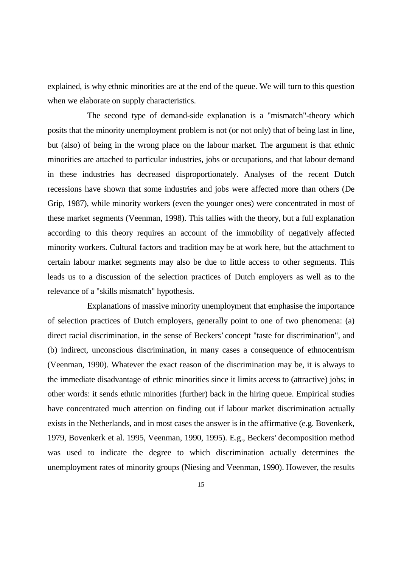explained, is why ethnic minorities are at the end of the queue. We will turn to this question when we elaborate on supply characteristics.

 The second type of demand-side explanation is a "mismatch"-theory which posits that the minority unemployment problem is not (or not only) that of being last in line, but (also) of being in the wrong place on the labour market. The argument is that ethnic minorities are attached to particular industries, jobs or occupations, and that labour demand in these industries has decreased disproportionately. Analyses of the recent Dutch recessions have shown that some industries and jobs were affected more than others (De Grip, 1987), while minority workers (even the younger ones) were concentrated in most of these market segments (Veenman, 1998). This tallies with the theory, but a full explanation according to this theory requires an account of the immobility of negatively affected minority workers. Cultural factors and tradition may be at work here, but the attachment to certain labour market segments may also be due to little access to other segments. This leads us to a discussion of the selection practices of Dutch employers as well as to the relevance of a "skills mismatch" hypothesis.

 Explanations of massive minority unemployment that emphasise the importance of selection practices of Dutch employers, generally point to one of two phenomena: (a) direct racial discrimination, in the sense of Beckers' concept "taste for discrimination", and (b) indirect, unconscious discrimination, in many cases a consequence of ethnocentrism (Veenman, 1990). Whatever the exact reason of the discrimination may be, it is always to the immediate disadvantage of ethnic minorities since it limits access to (attractive) jobs; in other words: it sends ethnic minorities (further) back in the hiring queue. Empirical studies have concentrated much attention on finding out if labour market discrimination actually exists in the Netherlands, and in most cases the answer is in the affirmative (e.g. Bovenkerk, 1979, Bovenkerk et al. 1995, Veenman, 1990, 1995). E.g., Beckers' decomposition method was used to indicate the degree to which discrimination actually determines the unemployment rates of minority groups (Niesing and Veenman, 1990). However, the results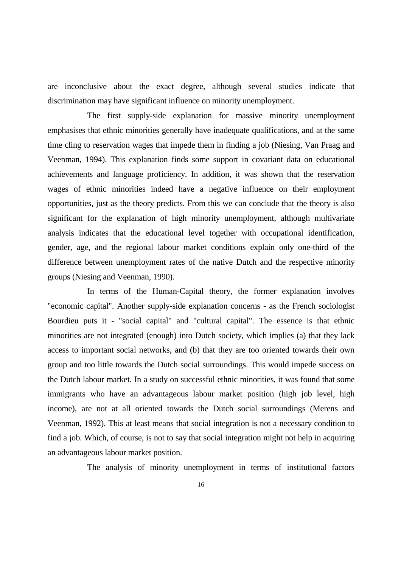are inconclusive about the exact degree, although several studies indicate that discrimination may have significant influence on minority unemployment.

 The first supply-side explanation for massive minority unemployment emphasises that ethnic minorities generally have inadequate qualifications, and at the same time cling to reservation wages that impede them in finding a job (Niesing, Van Praag and Veenman, 1994). This explanation finds some support in covariant data on educational achievements and language proficiency. In addition, it was shown that the reservation wages of ethnic minorities indeed have a negative influence on their employment opportunities, just as the theory predicts. From this we can conclude that the theory is also significant for the explanation of high minority unemployment, although multivariate analysis indicates that the educational level together with occupational identification, gender, age, and the regional labour market conditions explain only one-third of the difference between unemployment rates of the native Dutch and the respective minority groups (Niesing and Veenman, 1990).

 In terms of the Human-Capital theory, the former explanation involves "economic capital". Another supply-side explanation concerns - as the French sociologist Bourdieu puts it - "social capital" and "cultural capital". The essence is that ethnic minorities are not integrated (enough) into Dutch society, which implies (a) that they lack access to important social networks, and (b) that they are too oriented towards their own group and too little towards the Dutch social surroundings. This would impede success on the Dutch labour market. In a study on successful ethnic minorities, it was found that some immigrants who have an advantageous labour market position (high job level, high income), are not at all oriented towards the Dutch social surroundings (Merens and Veenman, 1992). This at least means that social integration is not a necessary condition to find a job. Which, of course, is not to say that social integration might not help in acquiring an advantageous labour market position.

The analysis of minority unemployment in terms of institutional factors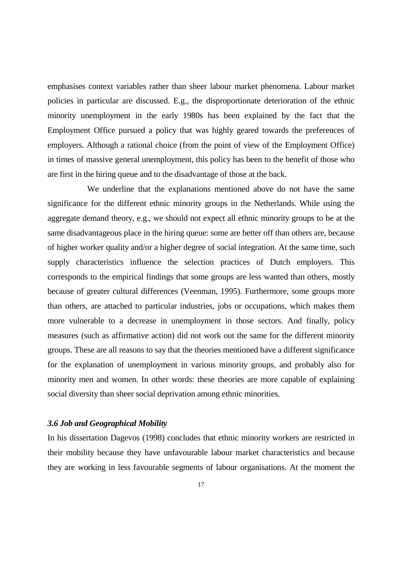emphasises context variables rather than sheer labour market phenomena. Labour market policies in particular are discussed. E.g., the disproportionate deterioration of the ethnic minority unemployment in the early 1980s has been explained by the fact that the Employment Office pursued a policy that was highly geared towards the preferences of employers. Although a rational choice (from the point of view of the Employment Office) in times of massive general unemployment, this policy has been to the benefit of those who are first in the hiring queue and to the disadvantage of those at the back.

 We underline that the explanations mentioned above do not have the same significance for the different ethnic minority groups in the Netherlands. While using the aggregate demand theory, e.g., we should not expect all ethnic minority groups to be at the same disadvantageous place in the hiring queue: some are better off than others are, because of higher worker quality and/or a higher degree of social integration. At the same time, such supply characteristics influence the selection practices of Dutch employers. This corresponds to the empirical findings that some groups are less wanted than others, mostly because of greater cultural differences (Veenman, 1995). Furthermore, some groups more than others, are attached to particular industries, jobs or occupations, which makes them more vulnerable to a decrease in unemployment in those sectors. And finally, policy measures (such as affirmative action) did not work out the same for the different minority groups. These are all reasons to say that the theories mentioned have a different significance for the explanation of unemployment in various minority groups, and probably also for minority men and women. In other words: these theories are more capable of explaining social diversity than sheer social deprivation among ethnic minorities.

### *3.6 Job and Geographical Mobility*

In his dissertation Dagevos (1998) concludes that ethnic minority workers are restricted in their mobility because they have unfavourable labour market characteristics and because they are working in less favourable segments of labour organisations. At the moment the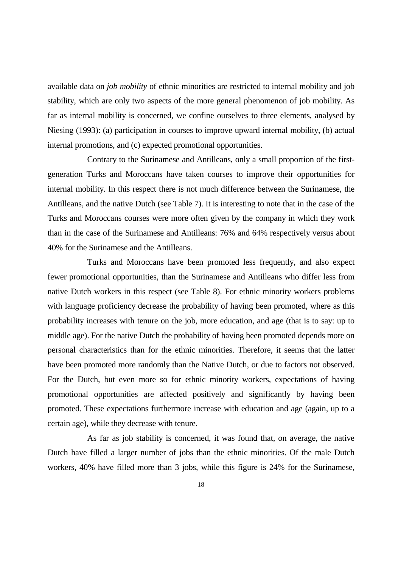available data on *job mobility* of ethnic minorities are restricted to internal mobility and job stability, which are only two aspects of the more general phenomenon of job mobility. As far as internal mobility is concerned, we confine ourselves to three elements, analysed by Niesing (1993): (a) participation in courses to improve upward internal mobility, (b) actual internal promotions, and (c) expected promotional opportunities.

 Contrary to the Surinamese and Antilleans, only a small proportion of the firstgeneration Turks and Moroccans have taken courses to improve their opportunities for internal mobility. In this respect there is not much difference between the Surinamese, the Antilleans, and the native Dutch (see Table 7). It is interesting to note that in the case of the Turks and Moroccans courses were more often given by the company in which they work than in the case of the Surinamese and Antilleans: 76% and 64% respectively versus about 40% for the Surinamese and the Antilleans.

 Turks and Moroccans have been promoted less frequently, and also expect fewer promotional opportunities, than the Surinamese and Antilleans who differ less from native Dutch workers in this respect (see Table 8). For ethnic minority workers problems with language proficiency decrease the probability of having been promoted, where as this probability increases with tenure on the job, more education, and age (that is to say: up to middle age). For the native Dutch the probability of having been promoted depends more on personal characteristics than for the ethnic minorities. Therefore, it seems that the latter have been promoted more randomly than the Native Dutch, or due to factors not observed. For the Dutch, but even more so for ethnic minority workers, expectations of having promotional opportunities are affected positively and significantly by having been promoted. These expectations furthermore increase with education and age (again, up to a certain age), while they decrease with tenure.

 As far as job stability is concerned, it was found that, on average, the native Dutch have filled a larger number of jobs than the ethnic minorities. Of the male Dutch workers, 40% have filled more than 3 jobs, while this figure is 24% for the Surinamese,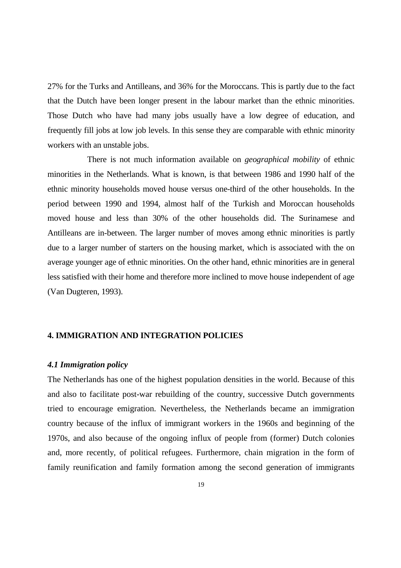27% for the Turks and Antilleans, and 36% for the Moroccans. This is partly due to the fact that the Dutch have been longer present in the labour market than the ethnic minorities. Those Dutch who have had many jobs usually have a low degree of education, and frequently fill jobs at low job levels. In this sense they are comparable with ethnic minority workers with an unstable jobs.

 There is not much information available on *geographical mobility* of ethnic minorities in the Netherlands. What is known, is that between 1986 and 1990 half of the ethnic minority households moved house versus one-third of the other households. In the period between 1990 and 1994, almost half of the Turkish and Moroccan households moved house and less than 30% of the other households did. The Surinamese and Antilleans are in-between. The larger number of moves among ethnic minorities is partly due to a larger number of starters on the housing market, which is associated with the on average younger age of ethnic minorities. On the other hand, ethnic minorities are in general less satisfied with their home and therefore more inclined to move house independent of age (Van Dugteren, 1993).

### **4. IMMIGRATION AND INTEGRATION POLICIES**

### *4.1 Immigration policy*

The Netherlands has one of the highest population densities in the world. Because of this and also to facilitate post-war rebuilding of the country, successive Dutch governments tried to encourage emigration. Nevertheless, the Netherlands became an immigration country because of the influx of immigrant workers in the 1960s and beginning of the 1970s, and also because of the ongoing influx of people from (former) Dutch colonies and, more recently, of political refugees. Furthermore, chain migration in the form of family reunification and family formation among the second generation of immigrants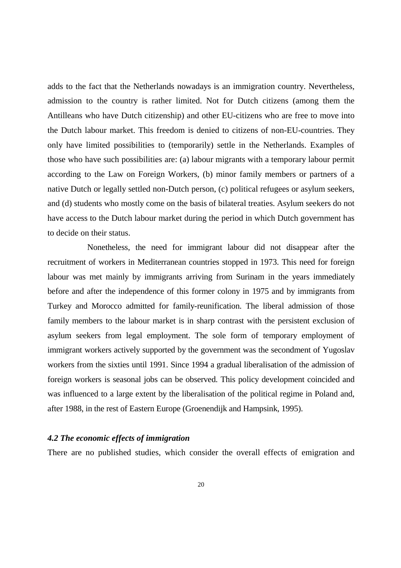adds to the fact that the Netherlands nowadays is an immigration country. Nevertheless, admission to the country is rather limited. Not for Dutch citizens (among them the Antilleans who have Dutch citizenship) and other EU-citizens who are free to move into the Dutch labour market. This freedom is denied to citizens of non-EU-countries. They only have limited possibilities to (temporarily) settle in the Netherlands. Examples of those who have such possibilities are: (a) labour migrants with a temporary labour permit according to the Law on Foreign Workers, (b) minor family members or partners of a native Dutch or legally settled non-Dutch person, (c) political refugees or asylum seekers, and (d) students who mostly come on the basis of bilateral treaties. Asylum seekers do not have access to the Dutch labour market during the period in which Dutch government has to decide on their status.

 Nonetheless, the need for immigrant labour did not disappear after the recruitment of workers in Mediterranean countries stopped in 1973. This need for foreign labour was met mainly by immigrants arriving from Surinam in the years immediately before and after the independence of this former colony in 1975 and by immigrants from Turkey and Morocco admitted for family-reunification. The liberal admission of those family members to the labour market is in sharp contrast with the persistent exclusion of asylum seekers from legal employment. The sole form of temporary employment of immigrant workers actively supported by the government was the secondment of Yugoslav workers from the sixties until 1991. Since 1994 a gradual liberalisation of the admission of foreign workers is seasonal jobs can be observed. This policy development coincided and was influenced to a large extent by the liberalisation of the political regime in Poland and, after 1988, in the rest of Eastern Europe (Groenendijk and Hampsink, 1995).

### *4.2 The economic effects of immigration*

There are no published studies, which consider the overall effects of emigration and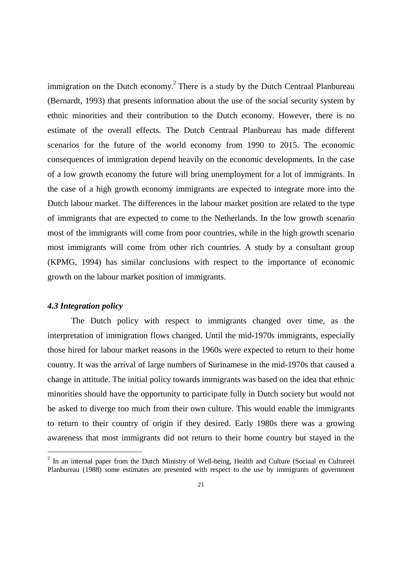immigration on the Dutch economy.<sup>2</sup> There is a study by the Dutch Centraal Planbureau (Bernardt, 1993) that presents information about the use of the social security system by ethnic minorities and their contribution to the Dutch economy. However, there is no estimate of the overall effects. The Dutch Centraal Planbureau has made different scenarios for the future of the world economy from 1990 to 2015. The economic consequences of immigration depend heavily on the economic developments. In the case of a low growth economy the future will bring unemployment for a lot of immigrants. In the case of a high growth economy immigrants are expected to integrate more into the Dutch labour market. The differences in the labour market position are related to the type of immigrants that are expected to come to the Netherlands. In the low growth scenario most of the immigrants will come from poor countries, while in the high growth scenario most immigrants will come from other rich countries. A study by a consultant group (KPMG, 1994) has similar conclusions with respect to the importance of economic growth on the labour market position of immigrants.

### *4.3 Integration policy*

The Dutch policy with respect to immigrants changed over time, as the interpretation of immigration flows changed. Until the mid-1970s immigrants, especially those hired for labour market reasons in the 1960s were expected to return to their home country. It was the arrival of large numbers of Surinamese in the mid-1970s that caused a change in attitude. The initial policy towards immigrants was based on the idea that ethnic minorities should have the opportunity to participate fully in Dutch society but would not be asked to diverge too much from their own culture. This would enable the immigrants to return to their country of origin if they desired. Early 1980s there was a growing awareness that most immigrants did not return to their home country but stayed in the

 $2$  In an internal paper from the Dutch Ministry of Well-being, Health and Culture (Sociaal en Cultureel Planbureau (1988) some estimates are presented with respect to the use by immigrants of government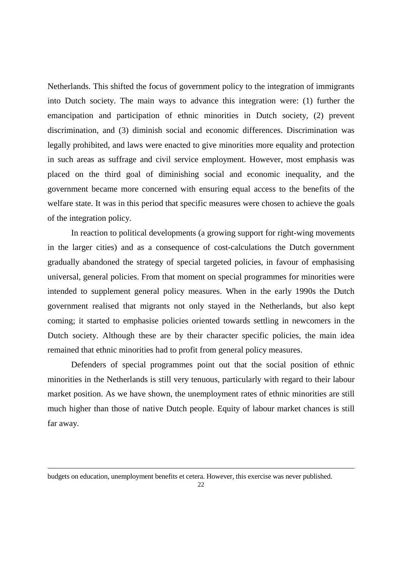Netherlands. This shifted the focus of government policy to the integration of immigrants into Dutch society. The main ways to advance this integration were: (1) further the emancipation and participation of ethnic minorities in Dutch society, (2) prevent discrimination, and (3) diminish social and economic differences. Discrimination was legally prohibited, and laws were enacted to give minorities more equality and protection in such areas as suffrage and civil service employment. However, most emphasis was placed on the third goal of diminishing social and economic inequality, and the government became more concerned with ensuring equal access to the benefits of the welfare state. It was in this period that specific measures were chosen to achieve the goals of the integration policy.

 In reaction to political developments (a growing support for right-wing movements in the larger cities) and as a consequence of cost-calculations the Dutch government gradually abandoned the strategy of special targeted policies, in favour of emphasising universal, general policies. From that moment on special programmes for minorities were intended to supplement general policy measures. When in the early 1990s the Dutch government realised that migrants not only stayed in the Netherlands, but also kept coming; it started to emphasise policies oriented towards settling in newcomers in the Dutch society. Although these are by their character specific policies, the main idea remained that ethnic minorities had to profit from general policy measures.

 Defenders of special programmes point out that the social position of ethnic minorities in the Netherlands is still very tenuous, particularly with regard to their labour market position. As we have shown, the unemployment rates of ethnic minorities are still much higher than those of native Dutch people. Equity of labour market chances is still far away.

j

budgets on education, unemployment benefits et cetera. However, this exercise was never published.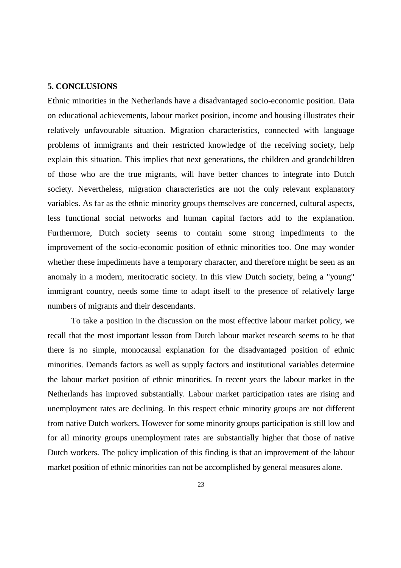### **5. CONCLUSIONS**

Ethnic minorities in the Netherlands have a disadvantaged socio-economic position. Data on educational achievements, labour market position, income and housing illustrates their relatively unfavourable situation. Migration characteristics, connected with language problems of immigrants and their restricted knowledge of the receiving society, help explain this situation. This implies that next generations, the children and grandchildren of those who are the true migrants, will have better chances to integrate into Dutch society. Nevertheless, migration characteristics are not the only relevant explanatory variables. As far as the ethnic minority groups themselves are concerned, cultural aspects, less functional social networks and human capital factors add to the explanation. Furthermore, Dutch society seems to contain some strong impediments to the improvement of the socio-economic position of ethnic minorities too. One may wonder whether these impediments have a temporary character, and therefore might be seen as an anomaly in a modern, meritocratic society. In this view Dutch society, being a "young" immigrant country, needs some time to adapt itself to the presence of relatively large numbers of migrants and their descendants.

To take a position in the discussion on the most effective labour market policy, we recall that the most important lesson from Dutch labour market research seems to be that there is no simple, monocausal explanation for the disadvantaged position of ethnic minorities. Demands factors as well as supply factors and institutional variables determine the labour market position of ethnic minorities. In recent years the labour market in the Netherlands has improved substantially. Labour market participation rates are rising and unemployment rates are declining. In this respect ethnic minority groups are not different from native Dutch workers. However for some minority groups participation is still low and for all minority groups unemployment rates are substantially higher that those of native Dutch workers. The policy implication of this finding is that an improvement of the labour market position of ethnic minorities can not be accomplished by general measures alone.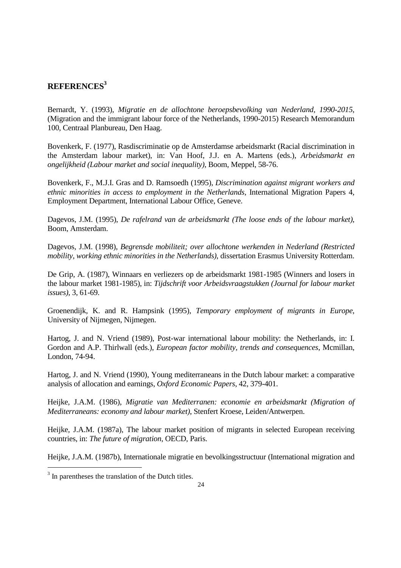### **REFERENCES3**

Bernardt, Y. (1993), *Migratie en de allochtone beroepsbevolking van Nederland, 1990-2015*, (Migration and the immigrant labour force of the Netherlands, 1990-2015) Research Memorandum 100, Centraal Planbureau, Den Haag.

Bovenkerk, F. (1977), Rasdiscriminatie op de Amsterdamse arbeidsmarkt (Racial discrimination in the Amsterdam labour market), in: Van Hoof, J.J. en A. Martens (eds.), *Arbeidsmarkt en ongelijkheid (Labour market and social inequality)*, Boom, Meppel, 58-76.

Bovenkerk, F., M.J.I. Gras and D. Ramsoedh (1995), *Discrimination against migrant workers and ethnic minorities in access to employment in the Netherlands*, International Migration Papers 4, Employment Department, International Labour Office, Geneve.

Dagevos, J.M. (1995), *De rafelrand van de arbeidsmarkt (The loose ends of the labour market)*, Boom, Amsterdam.

Dagevos, J.M. (1998), *Begrensde mobiliteit; over allochtone werkenden in Nederland (Restricted mobility, working ethnic minorities in the Netherlands)*, dissertation Erasmus University Rotterdam.

De Grip, A. (1987), Winnaars en verliezers op de arbeidsmarkt 1981-1985 (Winners and losers in the labour market 1981-1985), in: *Tijdschrift voor Arbeidsvraagstukken (Journal for labour market issues)*, 3, 61-69.

Groenendijk, K. and R. Hampsink (1995), *Temporary employment of migrants in Europe*, University of Nijmegen, Nijmegen.

Hartog, J. and N. Vriend (1989), Post-war international labour mobility: the Netherlands, in: I. Gordon and A.P. Thirlwall (eds.), *European factor mobility, trends and consequences*, Mcmillan, London, 74-94.

Hartog, J. and N. Vriend (1990), Young mediterraneans in the Dutch labour market: a comparative analysis of allocation and earnings, *Oxford Economic Papers*, 42, 379-401.

Heijke, J.A.M. (1986), *Migratie van Mediterranen: economie en arbeidsmarkt (Migration of Mediterraneans: economy and labour market)*, Stenfert Kroese, Leiden/Antwerpen.

Heijke, J.A.M. (1987a), The labour market position of migrants in selected European receiving countries, in: *The future of migration*, OECD, Paris.

Heijke, J.A.M. (1987b), Internationale migratie en bevolkingsstructuur (International migration and

-

 $3$  In parentheses the translation of the Dutch titles.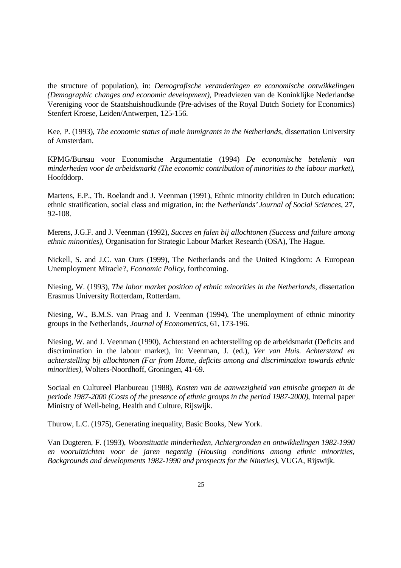the structure of population), in: *Demografische veranderingen en economische ontwikkelingen (Demographic changes and economic development)*, Preadviezen van de Koninklijke Nederlandse Vereniging voor de Staatshuishoudkunde (Pre-advises of the Royal Dutch Society for Economics) Stenfert Kroese, Leiden/Antwerpen, 125-156.

Kee, P. (1993), *The economic status of male immigrants in the Netherlands*, dissertation University of Amsterdam.

KPMG/Bureau voor Economische Argumentatie (1994) *De economische betekenis van minderheden voor de arbeidsmarkt (The economic contribution of minorities to the labour market)*, Hoofddorp.

Martens, E.P., Th. Roelandt and J. Veenman (1991), Ethnic minority children in Dutch education: ethnic stratification, social class and migration, in: the N*etherlands' Journal of Social Sciences*, 27, 92-108.

Merens, J.G.F. and J. Veenman (1992), *Succes en falen bij allochtonen (Success and failure among ethnic minorities)*, Organisation for Strategic Labour Market Research (OSA), The Hague.

Nickell, S. and J.C. van Ours (1999), The Netherlands and the United Kingdom: A European Unemployment Miracle?, *Economic Policy*, forthcoming.

Niesing, W. (1993), *The labor market position of ethnic minorities in the Netherlands*, dissertation Erasmus University Rotterdam, Rotterdam.

Niesing, W., B.M.S. van Praag and J. Veenman (1994), The unemployment of ethnic minority groups in the Netherlands, *Journal of Econometrics*, 61, 173-196.

Niesing, W. and J. Veenman (1990), Achterstand en achterstelling op de arbeidsmarkt (Deficits and discrimination in the labour market), in: Veenman, J. (ed.), *Ver van Huis. Achterstand en achterstelling bij allochtonen (Far from Home, deficits among and discrimination towards ethnic minorities)*, Wolters-Noordhoff, Groningen, 41-69.

Sociaal en Cultureel Planbureau (1988), *Kosten van de aanwezigheid van etnische groepen in de periode 1987-2000 (Costs of the presence of ethnic groups in the period 1987-2000)*, Internal paper Ministry of Well-being, Health and Culture, Rijswijk.

Thurow, L.C. (1975), Generating inequality, Basic Books, New York.

Van Dugteren, F. (1993), *Woonsituatie minderheden, Achtergronden en ontwikkelingen 1982-1990 en vooruitzichten voor de jaren negentig (Housing conditions among ethnic minorities, Backgrounds and developments 1982-1990 and prospects for the Nineties)*, VUGA, Rijswijk.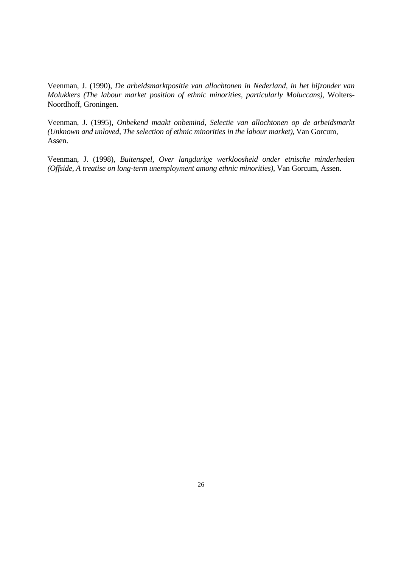Veenman, J. (1990), *De arbeidsmarktpositie van allochtonen in Nederland, in het bijzonder van Molukkers (The labour market position of ethnic minorities, particularly Moluccans)*, Wolters-Noordhoff, Groningen.

Veenman, J. (1995), *Onbekend maakt onbemind, Selectie van allochtonen op de arbeidsmarkt (Unknown and unloved, The selection of ethnic minorities in the labour market)*, Van Gorcum, Assen.

Veenman, J. (1998), *Buitenspel, Over langdurige werkloosheid onder etnische minderheden (Offside, A treatise on long-term unemployment among ethnic minorities)*, Van Gorcum, Assen.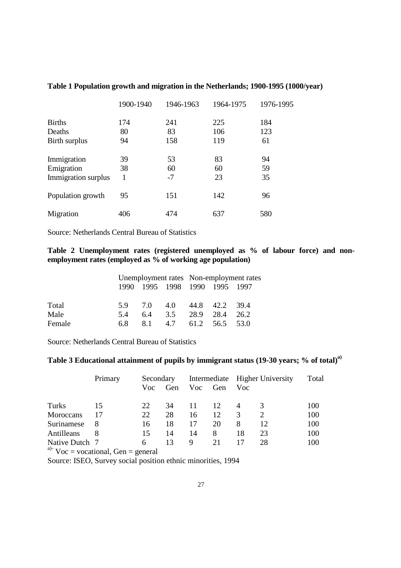|                     | 1900-1940 | 1946-1963 | 1964-1975 | 1976-1995 |
|---------------------|-----------|-----------|-----------|-----------|
| <b>Births</b>       | 174       | 241       | 225       | 184       |
| Deaths              | 80        | 83        | 106       | 123       |
| Birth surplus       | 94        | 158       | 119       | 61        |
| Immigration         | 39        | 53        | 83        | 94        |
| Emigration          | 38        | 60        | 60        | 59        |
| Immigration surplus |           | $-7$      | 23        | 35        |
| Population growth   | 95        | 151       | 142       | 96        |
| Migration           | 406       | 474       | 637       | 580       |

### **Table 1 Population growth and migration in the Netherlands; 1900-1995 (1000/year)**

Source: Netherlands Central Bureau of Statistics

### **Table 2 Unemployment rates (registered unemployed as % of labour force) and nonemployment rates (employed as % of working age population)**

|        |     |     |     | Unemployment rates Non-employment rates |                               |      |
|--------|-----|-----|-----|-----------------------------------------|-------------------------------|------|
|        |     |     |     |                                         | 1990 1995 1998 1990 1995 1997 |      |
|        |     |     |     |                                         |                               |      |
| Total  | 59. | 7.0 | 4.0 |                                         | 44.8 42.2 39.4                |      |
| Male   | 5.4 | 64  | 3.5 | 28.9                                    | 28.4                          | 26.2 |
| Female | 6.8 | 81  | 4.7 |                                         | 61.2 56.5 53.0                |      |

Source: Netherlands Central Bureau of Statistics

# Table 3 Educational attainment of pupils by immigrant status (19-30 years; % of total)<sup>a)</sup>

|                                 | Primary | Secondary |     |     |     |     | Intermediate Higher University | Total |
|---------------------------------|---------|-----------|-----|-----|-----|-----|--------------------------------|-------|
|                                 |         | Voc       | Gen | Voc | Gen | Voc |                                |       |
| Turks                           | 15      | 22        | 34  | 11  | 12  |     |                                | 100   |
| Moroccans                       | 17      | 22        | 28  | 16  | 12  | 3   | $\mathcal{D}_{\mathcal{L}}$    | 100   |
| Surinamese                      | 8       | 16        | 18  | 17  | 20  | 8   | 12                             | 100   |
| Antilleans                      |         | 15        | 14  | 14  | 8   | 18  | 23                             | 100   |
| Native Dutch 7<br>$\sim$ $\sim$ |         | 6         | 13  | 9   | 21  |     | 28                             | 100   |

<sup>a)-</sup> Voc = vocational, Gen = general

Source: ISEO, Survey social position ethnic minorities, 1994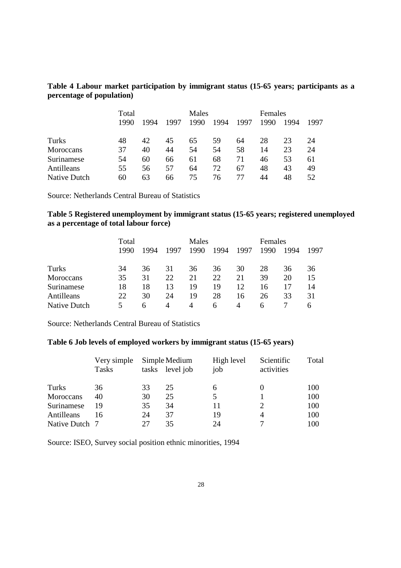### **Table 4 Labour market participation by immigrant status (15-65 years; participants as a percentage of population)**

|              | Total |      |      | Males |      |      | Females |      |      |
|--------------|-------|------|------|-------|------|------|---------|------|------|
|              | 1990  | 1994 | 1997 | 1990  | 1994 | 1997 | 1990    | 1994 | 1997 |
|              |       |      |      |       |      |      |         |      |      |
| Turks        | 48    | 42   | 45   | 65    | 59   | 64   | 28      | 23   | 24   |
| Moroccans    | 37    | 40   | 44   | 54    | 54   | 58   | 14      | 23   | 24   |
| Surinamese   | 54    | 60   | 66   | 61    | 68   | 71   | 46      | 53   | 61   |
| Antilleans   | 55    | 56   | 57   | 64    | 72   | 67   | 48      | 43   | 49   |
| Native Dutch | 60    | 63   | 66   | 75    | 76   | 77   | 44      | 48   | 52   |

Source: Netherlands Central Bureau of Statistics

### **Table 5 Registered unemployment by immigrant status (15-65 years; registered unemployed as a percentage of total labour force)**

|              | Total |      |      | Males |      |      | Females |      |      |
|--------------|-------|------|------|-------|------|------|---------|------|------|
|              | 1990  | 1994 | 1997 | 1990  | 1994 | 1997 | 1990    | 1994 | 1997 |
|              |       |      |      |       |      |      |         |      |      |
| Turks        | 34    | 36   | 31   | 36    | 36   | 30   | 28      | 36   | 36   |
| Moroccans    | 35    | 31   | 22   | 21    | 22   | 21   | 39      | 20   | 15   |
| Surinamese   | 18    | 18   | 13   | 19    | 19   | 12   | 16      |      | 14   |
| Antilleans   | 22    | 30   | 24   | 19    | 28   | 16   | 26      | 33   | 31   |
| Native Dutch | 5.    | 6    | 4    | 4     | 6    | 4    | 6       |      | h    |

Source: Netherlands Central Bureau of Statistics

### **Table 6 Job levels of employed workers by immigrant status (15-65 years)**

|                | Very simple<br><b>Tasks</b> | tasks | Simple Medium<br>level job | High level<br>job | Scientific<br>activities | Total |
|----------------|-----------------------------|-------|----------------------------|-------------------|--------------------------|-------|
| Turks          | 36                          | 33    | 25                         | 6                 |                          | 100   |
| Moroccans      | 40                          | 30    | 25                         | 5                 |                          | 100   |
| Surinamese     | 19                          | 35    | 34                         | 11                | 2                        | 100   |
| Antilleans     | 16                          | 24    | 37                         | 19                | 4                        | 100   |
| Native Dutch 7 |                             | 27    | 35                         | 24                |                          | 100   |

Source: ISEO, Survey social position ethnic minorities, 1994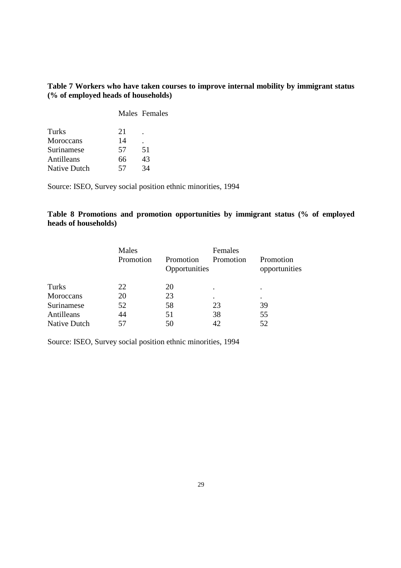### **Table 7 Workers who have taken courses to improve internal mobility by immigrant status (% of employed heads of households)**

|                     |    | Males Females |  |
|---------------------|----|---------------|--|
| Turks               | 21 |               |  |
| Moroccans           | 14 |               |  |
| Surinamese          | 57 | 51            |  |
| Antilleans          | 66 | 43            |  |
| <b>Native Dutch</b> | 57 | 34            |  |

Source: ISEO, Survey social position ethnic minorities, 1994

### **Table 8 Promotions and promotion opportunities by immigrant status (% of employed heads of households)**

|              | Males<br>Promotion | Promotion<br>Opportunities | Females<br>Promotion | Promotion<br>opportunities |  |
|--------------|--------------------|----------------------------|----------------------|----------------------------|--|
| Turks        | 22                 | 20                         | $\bullet$            | ٠                          |  |
| Moroccans    | 20                 | 23                         | ٠                    | ٠                          |  |
| Surinamese   | 52                 | 58                         | 23                   | 39                         |  |
| Antilleans   | 44                 | 51                         | 38                   | 55                         |  |
| Native Dutch | 57                 | 50                         | 42                   | 52                         |  |

Source: ISEO, Survey social position ethnic minorities, 1994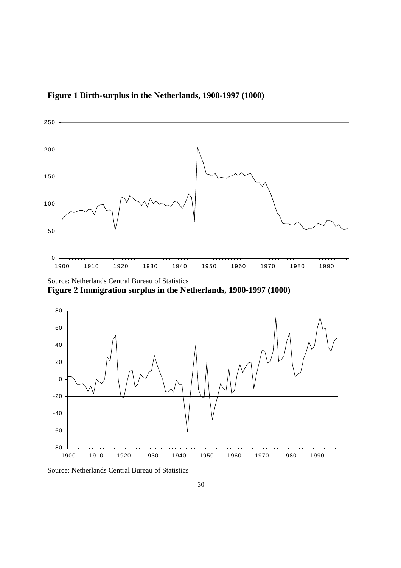



Source: Netherlands Central Bureau of Statistics **Figure 2 Immigration surplus in the Netherlands, 1900-1997 (1000)** 





Source: Netherlands Central Bureau of Statistics